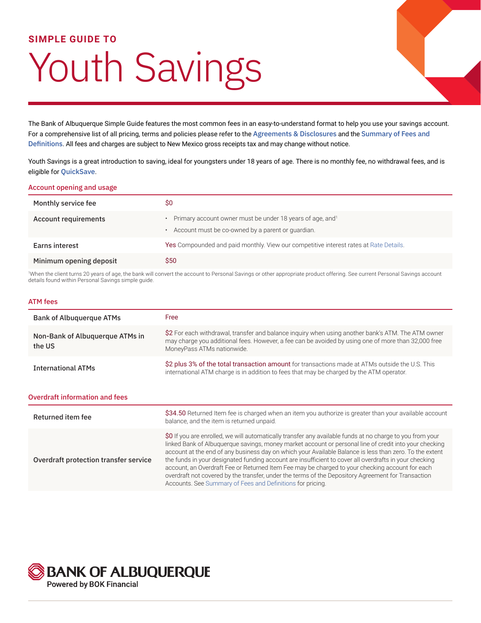### **SIMPLE GUIDE TO**

# Youth Savings

The Bank of Albuquerque Simple Guide features the most common fees in an easy-to-understand format to help you use your savings account. For a comprehensive list of all pricing, terms and policies please refer to the [Agreements & Disclosures](https://www.bankofalbuquerque.com/-/media/Files/PDF/BAQ/BAQ8029.ashx) and the [Summary of Fees and](https://www.bankofalbuquerque.com/-/media/Files/PDF/BAQ/BAQSummaryOfFeesAndDefinitions.ashx)  [Definitions](https://www.bankofalbuquerque.com/-/media/Files/PDF/BAQ/BAQSummaryOfFeesAndDefinitions.ashx). All fees and charges are subject to New Mexico gross receipts tax and may change without notice.

Youth Savings is a great introduction to saving, ideal for youngsters under 18 years of age. There is no monthly fee, no withdrawal fees, and is eligible for [QuickSave](https://www.bankofalbuquerque.com/personal/products-and-services/personal-banking/account-services/quicksave).

#### Account opening and usage

| Monthly service fee     | S0                                                                                                                         |
|-------------------------|----------------------------------------------------------------------------------------------------------------------------|
| Account requirements    | Primary account owner must be under 18 years of age, and <sup>1</sup><br>Account must be co-owned by a parent or quardian. |
| Earns interest          | Yes Compounded and paid monthly. View our competitive interest rates at Rate Details.                                      |
| Minimum opening deposit | <b>S50</b>                                                                                                                 |

1 When the client turns 20 years of age, the bank will convert the account to Personal Savings or other appropriate product offering. See current Personal Savings account details found within Personal Savings simple guide.

#### ATM fees

| <b>Bank of Albuquerque ATMs</b>           | Free                                                                                                                                                                                                                                                                                                                                                                                                                                                                                                                                                                                                                                                                                                            |  |
|-------------------------------------------|-----------------------------------------------------------------------------------------------------------------------------------------------------------------------------------------------------------------------------------------------------------------------------------------------------------------------------------------------------------------------------------------------------------------------------------------------------------------------------------------------------------------------------------------------------------------------------------------------------------------------------------------------------------------------------------------------------------------|--|
| Non-Bank of Albuquerque ATMs in<br>the US | \$2 For each withdrawal, transfer and balance inquiry when using another bank's ATM. The ATM owner<br>may charge you additional fees. However, a fee can be avoided by using one of more than 32,000 free<br>MoneyPass ATMs nationwide.                                                                                                                                                                                                                                                                                                                                                                                                                                                                         |  |
| <b>International ATMs</b>                 | \$2 plus 3% of the total transaction amount for transactions made at ATMs outside the U.S. This<br>international ATM charge is in addition to fees that may be charged by the ATM operator.                                                                                                                                                                                                                                                                                                                                                                                                                                                                                                                     |  |
| <b>Overdraft information and fees</b>     |                                                                                                                                                                                                                                                                                                                                                                                                                                                                                                                                                                                                                                                                                                                 |  |
| Returned item fee                         | \$34.50 Returned Item fee is charged when an item you authorize is greater than your available account<br>balance, and the item is returned unpaid.                                                                                                                                                                                                                                                                                                                                                                                                                                                                                                                                                             |  |
| Overdraft protection transfer service     | \$0 If you are enrolled, we will automatically transfer any available funds at no charge to you from your<br>linked Bank of Albuquerque savings, money market account or personal line of credit into your checking<br>account at the end of any business day on which your Available Balance is less than zero. To the extent<br>the funds in your designated funding account are insufficient to cover all overdrafts in your checking<br>account, an Overdraft Fee or Returned Item Fee may be charged to your checking account for each<br>overdraft not covered by the transfer, under the terms of the Depository Agreement for Transaction<br>Accounts. See Summary of Fees and Definitions for pricing. |  |